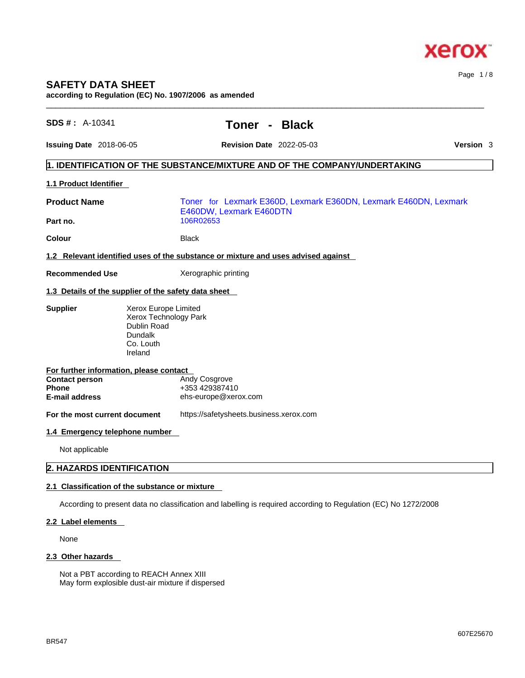

Page 1 / 8

# **SAFETY DATA SHEET**

**according to Regulation (EC) No. 1907/2006 as amended** 

| <b>Issuing Date</b> 2018-06-05<br><b>Revision Date</b> 2022-05-03<br><b>Version</b> 3<br>1. IDENTIFICATION OF THE SUBSTANCE/MIXTURE AND OF THE COMPANY/UNDERTAKING<br>1.1 Product Identifier<br><b>Product Name</b><br>Toner for Lexmark E360D, Lexmark E360DN, Lexmark E460DN, Lexmark<br>E460DW, Lexmark E460DTN<br>Part no.<br>106R02653<br>Colour<br><b>Black</b><br>1.2 Relevant identified uses of the substance or mixture and uses advised against<br><b>Recommended Use</b><br>Xerographic printing<br>1.3 Details of the supplier of the safety data sheet<br><b>Supplier</b><br>Xerox Europe Limited<br>Xerox Technology Park<br>Dublin Road<br>Dundalk<br>Co. Louth<br>Ireland<br>For further information, please contact<br>Andy Cosgrove<br><b>Contact person</b><br>+353 429387410<br><b>Phone</b><br><b>E-mail address</b><br>ehs-europe@xerox.com<br>https://safetysheets.business.xerox.com<br>For the most current document<br>1.4 Emergency telephone number<br>Not applicable<br>2. HAZARDS IDENTIFICATION<br>2.1 Classification of the substance or mixture | SDS #: A-10341 |  | Toner - |  | <b>Black</b> |  |
|-----------------------------------------------------------------------------------------------------------------------------------------------------------------------------------------------------------------------------------------------------------------------------------------------------------------------------------------------------------------------------------------------------------------------------------------------------------------------------------------------------------------------------------------------------------------------------------------------------------------------------------------------------------------------------------------------------------------------------------------------------------------------------------------------------------------------------------------------------------------------------------------------------------------------------------------------------------------------------------------------------------------------------------------------------------------------------------|----------------|--|---------|--|--------------|--|
|                                                                                                                                                                                                                                                                                                                                                                                                                                                                                                                                                                                                                                                                                                                                                                                                                                                                                                                                                                                                                                                                                   |                |  |         |  |              |  |
|                                                                                                                                                                                                                                                                                                                                                                                                                                                                                                                                                                                                                                                                                                                                                                                                                                                                                                                                                                                                                                                                                   |                |  |         |  |              |  |
|                                                                                                                                                                                                                                                                                                                                                                                                                                                                                                                                                                                                                                                                                                                                                                                                                                                                                                                                                                                                                                                                                   |                |  |         |  |              |  |
|                                                                                                                                                                                                                                                                                                                                                                                                                                                                                                                                                                                                                                                                                                                                                                                                                                                                                                                                                                                                                                                                                   |                |  |         |  |              |  |
|                                                                                                                                                                                                                                                                                                                                                                                                                                                                                                                                                                                                                                                                                                                                                                                                                                                                                                                                                                                                                                                                                   |                |  |         |  |              |  |
|                                                                                                                                                                                                                                                                                                                                                                                                                                                                                                                                                                                                                                                                                                                                                                                                                                                                                                                                                                                                                                                                                   |                |  |         |  |              |  |
|                                                                                                                                                                                                                                                                                                                                                                                                                                                                                                                                                                                                                                                                                                                                                                                                                                                                                                                                                                                                                                                                                   |                |  |         |  |              |  |
|                                                                                                                                                                                                                                                                                                                                                                                                                                                                                                                                                                                                                                                                                                                                                                                                                                                                                                                                                                                                                                                                                   |                |  |         |  |              |  |
|                                                                                                                                                                                                                                                                                                                                                                                                                                                                                                                                                                                                                                                                                                                                                                                                                                                                                                                                                                                                                                                                                   |                |  |         |  |              |  |
|                                                                                                                                                                                                                                                                                                                                                                                                                                                                                                                                                                                                                                                                                                                                                                                                                                                                                                                                                                                                                                                                                   |                |  |         |  |              |  |
|                                                                                                                                                                                                                                                                                                                                                                                                                                                                                                                                                                                                                                                                                                                                                                                                                                                                                                                                                                                                                                                                                   |                |  |         |  |              |  |
|                                                                                                                                                                                                                                                                                                                                                                                                                                                                                                                                                                                                                                                                                                                                                                                                                                                                                                                                                                                                                                                                                   |                |  |         |  |              |  |
|                                                                                                                                                                                                                                                                                                                                                                                                                                                                                                                                                                                                                                                                                                                                                                                                                                                                                                                                                                                                                                                                                   |                |  |         |  |              |  |
|                                                                                                                                                                                                                                                                                                                                                                                                                                                                                                                                                                                                                                                                                                                                                                                                                                                                                                                                                                                                                                                                                   |                |  |         |  |              |  |
|                                                                                                                                                                                                                                                                                                                                                                                                                                                                                                                                                                                                                                                                                                                                                                                                                                                                                                                                                                                                                                                                                   |                |  |         |  |              |  |
|                                                                                                                                                                                                                                                                                                                                                                                                                                                                                                                                                                                                                                                                                                                                                                                                                                                                                                                                                                                                                                                                                   |                |  |         |  |              |  |
|                                                                                                                                                                                                                                                                                                                                                                                                                                                                                                                                                                                                                                                                                                                                                                                                                                                                                                                                                                                                                                                                                   |                |  |         |  |              |  |
| According to present data no classification and labelling is required according to Regulation (EC) No 1272/2008                                                                                                                                                                                                                                                                                                                                                                                                                                                                                                                                                                                                                                                                                                                                                                                                                                                                                                                                                                   |                |  |         |  |              |  |
| 2.2 Label elements                                                                                                                                                                                                                                                                                                                                                                                                                                                                                                                                                                                                                                                                                                                                                                                                                                                                                                                                                                                                                                                                |                |  |         |  |              |  |

 $\_$  ,  $\_$  ,  $\_$  ,  $\_$  ,  $\_$  ,  $\_$  ,  $\_$  ,  $\_$  ,  $\_$  ,  $\_$  ,  $\_$  ,  $\_$  ,  $\_$  ,  $\_$  ,  $\_$  ,  $\_$  ,  $\_$  ,  $\_$  ,  $\_$  ,  $\_$  ,  $\_$  ,  $\_$  ,  $\_$  ,  $\_$  ,  $\_$  ,  $\_$  ,  $\_$  ,  $\_$  ,  $\_$  ,  $\_$  ,  $\_$  ,  $\_$  ,  $\_$  ,  $\_$  ,  $\_$  ,  $\_$  ,  $\_$  ,

None

#### **2.3 Other hazards**

Not a PBT according to REACH Annex XIII May form explosible dust-air mixture if dispersed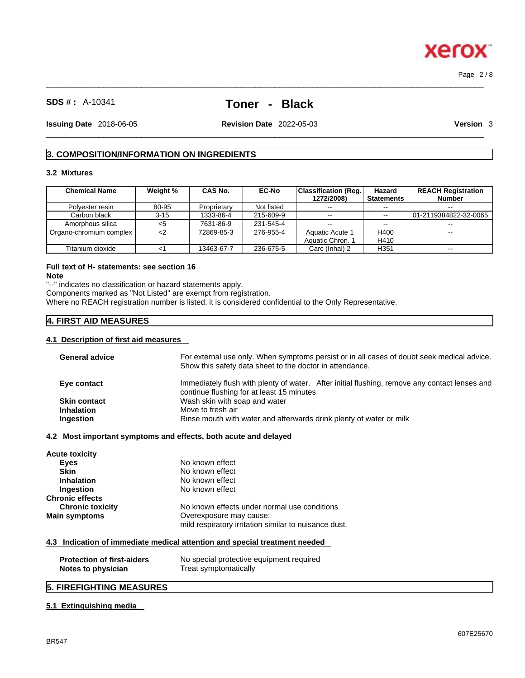# **SDS # :** A-10341 **Toner - Black**

 $\_$  ,  $\_$  ,  $\_$  ,  $\_$  ,  $\_$  ,  $\_$  ,  $\_$  ,  $\_$  ,  $\_$  ,  $\_$  ,  $\_$  ,  $\_$  ,  $\_$  ,  $\_$  ,  $\_$  ,  $\_$  ,  $\_$  ,  $\_$  ,  $\_$  ,  $\_$  ,  $\_$  ,  $\_$  ,  $\_$  ,  $\_$  ,  $\_$  ,  $\_$  ,  $\_$  ,  $\_$  ,  $\_$  ,  $\_$  ,  $\_$  ,  $\_$  ,  $\_$  ,  $\_$  ,  $\_$  ,  $\_$  ,  $\_$  ,

**Issuing Date** 2018-06-05 **Revision Date** 2022-05-03 **Version** 3

 $\_$  ,  $\_$  ,  $\_$  ,  $\_$  ,  $\_$  ,  $\_$  ,  $\_$  ,  $\_$  ,  $\_$  ,  $\_$  ,  $\_$  ,  $\_$  ,  $\_$  ,  $\_$  ,  $\_$  ,  $\_$  ,  $\_$  ,  $\_$  ,  $\_$  ,  $\_$  ,  $\_$  ,  $\_$  ,  $\_$  ,  $\_$  ,  $\_$  ,  $\_$  ,  $\_$  ,  $\_$  ,  $\_$  ,  $\_$  ,  $\_$  ,  $\_$  ,  $\_$  ,  $\_$  ,  $\_$  ,  $\_$  ,  $\_$  ,

Page 2 / 8

## **3. COMPOSITION/INFORMATION ON INGREDIENTS**

#### **3.2 Mixtures**

| <b>Chemical Name</b>    | Weight % | <b>CAS No.</b> | <b>EC-No</b> | <b>Classification (Reg.</b><br>1272/2008) | Hazard<br><b>Statements</b> | <b>REACH Registration</b><br><b>Number</b> |
|-------------------------|----------|----------------|--------------|-------------------------------------------|-----------------------------|--------------------------------------------|
| Polyester resin         | 80-95    | Proprietary    | Not listed   | $\sim$ $\sim$                             | $-1$                        | $- -$                                      |
| Carbon black            | $3 - 15$ | 1333-86-4      | 215-609-9    | $\sim$ $\sim$                             | $\sim$ $\sim$               | 01-2119384822-32-0065                      |
| Amorphous silica        | <5       | 7631-86-9      | 231-545-4    | $\sim$                                    | --                          |                                            |
| Organo-chromium complex | $<$ 2    | 72869-85-3     | 276-955-4    | Aquatic Acute 1                           | H400                        | $\overline{\phantom{m}}$                   |
|                         |          |                |              | Aquatic Chron, 1                          | H410                        |                                            |
| Titanium dioxide        |          | 13463-67-7     | 236-675-5    | Carc (Inhal) 2                            | H351                        |                                            |

#### **Full text of H- statements: see section 16 Note**

"--" indicates no classification or hazard statements apply.

Components marked as "Not Listed" are exempt from registration.

Where no REACH registration number is listed, it is considered confidential to the Only Representative.

## **4. FIRST AID MEASURES**

#### **4.1 Description of first aid measures**

| <b>General advice</b>             | For external use only. When symptoms persist or in all cases of doubt seek medical advice.<br>Show this safety data sheet to the doctor in attendance. |
|-----------------------------------|--------------------------------------------------------------------------------------------------------------------------------------------------------|
| Eye contact                       | Immediately flush with plenty of water. After initial flushing, remove any contact lenses and<br>continue flushing for at least 15 minutes             |
| <b>Skin contact</b>               | Wash skin with soap and water                                                                                                                          |
| <b>Inhalation</b>                 | Move to fresh air                                                                                                                                      |
| Ingestion                         | Rinse mouth with water and afterwards drink plenty of water or milk                                                                                    |
| Acute toxicity                    |                                                                                                                                                        |
| <b>Eyes</b>                       | No known effect                                                                                                                                        |
| <b>Skin</b>                       | No known effect                                                                                                                                        |
| <b>Inhalation</b>                 | No known effect                                                                                                                                        |
| <b>Ingestion</b>                  | No known effect                                                                                                                                        |
| <b>Chronic effects</b>            |                                                                                                                                                        |
| <b>Chronic toxicity</b>           | No known effects under normal use conditions                                                                                                           |
| Main symptoms                     | Overexposure may cause:                                                                                                                                |
|                                   | mild respiratory irritation similar to nuisance dust.                                                                                                  |
|                                   | 4.3 Indication of immediate medical attention and special treatment needed                                                                             |
| <b>Protection of first-aiders</b> | No special protective equipment required                                                                                                               |

# **5. FIREFIGHTING MEASURES**

**Notes to physician** Treat symptomatically

#### **5.1 Extinguishing media**

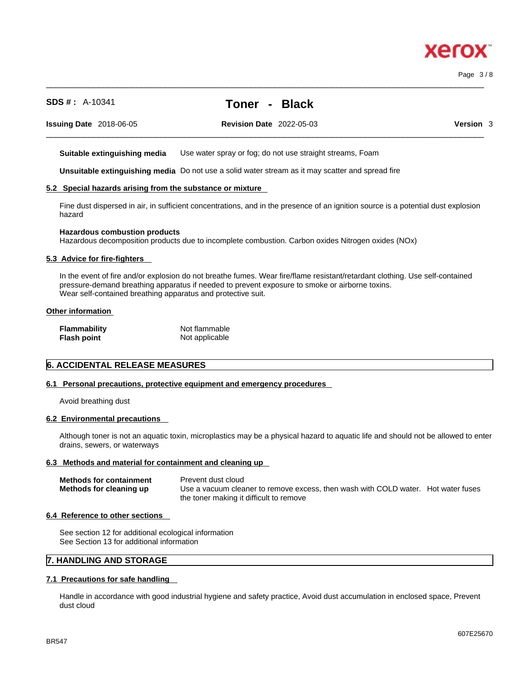Page 3 / 8

# **SDS # :** A-10341 **Toner - Black**

 $\_$  ,  $\_$  ,  $\_$  ,  $\_$  ,  $\_$  ,  $\_$  ,  $\_$  ,  $\_$  ,  $\_$  ,  $\_$  ,  $\_$  ,  $\_$  ,  $\_$  ,  $\_$  ,  $\_$  ,  $\_$  ,  $\_$  ,  $\_$  ,  $\_$  ,  $\_$  ,  $\_$  ,  $\_$  ,  $\_$  ,  $\_$  ,  $\_$  ,  $\_$  ,  $\_$  ,  $\_$  ,  $\_$  ,  $\_$  ,  $\_$  ,  $\_$  ,  $\_$  ,  $\_$  ,  $\_$  ,  $\_$  ,  $\_$  ,

**Issuing Date** 2018-06-05 **Revision Date** 2022-05-03 **Version** 3

 $\_$  ,  $\_$  ,  $\_$  ,  $\_$  ,  $\_$  ,  $\_$  ,  $\_$  ,  $\_$  ,  $\_$  ,  $\_$  ,  $\_$  ,  $\_$  ,  $\_$  ,  $\_$  ,  $\_$  ,  $\_$  ,  $\_$  ,  $\_$  ,  $\_$  ,  $\_$  ,  $\_$  ,  $\_$  ,  $\_$  ,  $\_$  ,  $\_$  ,  $\_$  ,  $\_$  ,  $\_$  ,  $\_$  ,  $\_$  ,  $\_$  ,  $\_$  ,  $\_$  ,  $\_$  ,  $\_$  ,  $\_$  ,  $\_$  ,

**Suitable extinguishing media** Use water spray or fog; do not use straight streams, Foam

**Unsuitable extinguishing media** Do not use a solid water stream as it may scatterand spread fire

#### **5.2 Special hazards arising from the substance or mixture**

Fine dust dispersed in air, in sufficient concentrations, and in the presence of an ignition source is a potential dust explosion hazard

#### **Hazardous combustion products**

Hazardous decomposition products due to incomplete combustion. Carbon oxides Nitrogen oxides (NOx)

#### **5.3 Advice for fire-fighters**

In the event of fire and/or explosion do not breathe fumes. Wear fire/flame resistant/retardant clothing. Use self-contained pressure-demand breathing apparatus if needed to prevent exposure to smoke or airborne toxins. Wear self-contained breathing apparatus and protective suit.

#### **Other information**

| <b>Flammability</b> | Not flammable  |
|---------------------|----------------|
| <b>Flash point</b>  | Not applicable |

#### **6. ACCIDENTAL RELEASE MEASURES**

#### **6.1 Personal precautions, protective equipment and emergency procedures**

Avoid breathing dust

#### **6.2 Environmental precautions**

Although toner is not an aquatic toxin, microplastics may be a physical hazard to aquatic life and should not be allowed to enter drains, sewers, or waterways

#### **6.3 Methods and material for containment and cleaning up**

| <b>Methods for containment</b> | Prevent dust cloud                                                                |  |
|--------------------------------|-----------------------------------------------------------------------------------|--|
| Methods for cleaning up        | Use a vacuum cleaner to remove excess, then wash with COLD water. Hot water fuses |  |
|                                | the toner making it difficult to remove                                           |  |

#### **6.4 Reference to other sections**

See section 12 for additional ecological information See Section 13 for additional information

#### **7. HANDLING AND STORAGE**

#### **7.1 Precautions for safe handling**

Handle in accordance with good industrial hygiene and safety practice, Avoid dust accumulation in enclosed space, Prevent dust cloud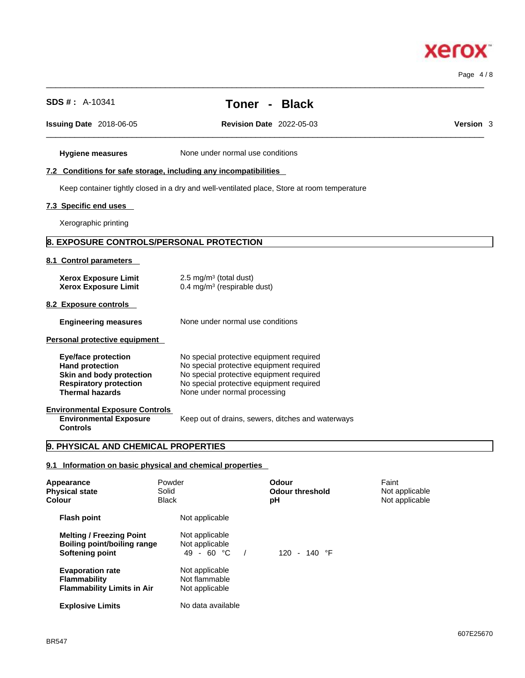# **Xerox**

Page 4 / 8

| <b>SDS #</b> : $A-10341$                                                                                                                    |                                                                                                                                                                                                              |            | Toner - Black                                     |                                           |           |
|---------------------------------------------------------------------------------------------------------------------------------------------|--------------------------------------------------------------------------------------------------------------------------------------------------------------------------------------------------------------|------------|---------------------------------------------------|-------------------------------------------|-----------|
| Issuing Date 2018-06-05                                                                                                                     |                                                                                                                                                                                                              |            | <b>Revision Date 2022-05-03</b>                   |                                           | Version 3 |
| <b>Hygiene measures</b>                                                                                                                     | None under normal use conditions                                                                                                                                                                             |            |                                                   |                                           |           |
| 7.2 Conditions for safe storage, including any incompatibilities                                                                            |                                                                                                                                                                                                              |            |                                                   |                                           |           |
| Keep container tightly closed in a dry and well-ventilated place, Store at room temperature                                                 |                                                                                                                                                                                                              |            |                                                   |                                           |           |
| 7.3 Specific end uses                                                                                                                       |                                                                                                                                                                                                              |            |                                                   |                                           |           |
| Xerographic printing                                                                                                                        |                                                                                                                                                                                                              |            |                                                   |                                           |           |
| <b>8. EXPOSURE CONTROLS/PERSONAL PROTECTION</b>                                                                                             |                                                                                                                                                                                                              |            |                                                   |                                           |           |
| 8.1 Control parameters                                                                                                                      |                                                                                                                                                                                                              |            |                                                   |                                           |           |
| <b>Xerox Exposure Limit</b><br><b>Xerox Exposure Limit</b>                                                                                  | 2.5 mg/m $3$ (total dust)<br>0.4 mg/m <sup>3</sup> (respirable dust)                                                                                                                                         |            |                                                   |                                           |           |
| 8.2 Exposure controls                                                                                                                       |                                                                                                                                                                                                              |            |                                                   |                                           |           |
| <b>Engineering measures</b>                                                                                                                 | None under normal use conditions                                                                                                                                                                             |            |                                                   |                                           |           |
| Personal protective equipment                                                                                                               |                                                                                                                                                                                                              |            |                                                   |                                           |           |
| <b>Eye/face protection</b><br><b>Hand protection</b><br>Skin and body protection<br><b>Respiratory protection</b><br><b>Thermal hazards</b> | No special protective equipment required<br>No special protective equipment required<br>No special protective equipment required<br>No special protective equipment required<br>None under normal processing |            |                                                   |                                           |           |
| <b>Environmental Exposure Controls</b><br><b>Environmental Exposure</b><br><b>Controls</b>                                                  |                                                                                                                                                                                                              |            | Keep out of drains, sewers, ditches and waterways |                                           |           |
| 9. PHYSICAL AND CHEMICAL PROPERTIES                                                                                                         |                                                                                                                                                                                                              |            |                                                   |                                           |           |
| 9.1 Information on basic physical and chemical properties                                                                                   |                                                                                                                                                                                                              |            |                                                   |                                           |           |
| Appearance<br><b>Physical state</b><br>Colour                                                                                               | Powder<br>Solid<br><b>Black</b>                                                                                                                                                                              |            | Odour<br><b>Odour threshold</b><br>рH             | Faint<br>Not applicable<br>Not applicable |           |
| <b>Flash point</b>                                                                                                                          | Not applicable                                                                                                                                                                                               |            |                                                   |                                           |           |
| <b>Melting / Freezing Point</b><br><b>Boiling point/boiling range</b><br><b>Softening point</b>                                             | Not applicable<br>Not applicable<br>49 - 60 °C                                                                                                                                                               | $\sqrt{2}$ | 120 - 140 °F                                      |                                           |           |
| <b>Evaporation rate</b><br><b>Flammability</b>                                                                                              | Not applicable<br>Not flammable                                                                                                                                                                              |            |                                                   |                                           |           |

 $\_$  ,  $\_$  ,  $\_$  ,  $\_$  ,  $\_$  ,  $\_$  ,  $\_$  ,  $\_$  ,  $\_$  ,  $\_$  ,  $\_$  ,  $\_$  ,  $\_$  ,  $\_$  ,  $\_$  ,  $\_$  ,  $\_$  ,  $\_$  ,  $\_$  ,  $\_$  ,  $\_$  ,  $\_$  ,  $\_$  ,  $\_$  ,  $\_$  ,  $\_$  ,  $\_$  ,  $\_$  ,  $\_$  ,  $\_$  ,  $\_$  ,  $\_$  ,  $\_$  ,  $\_$  ,  $\_$  ,  $\_$  ,  $\_$  ,

**Flammability Limits in Air** Not applicable

**Explosive Limits** No data available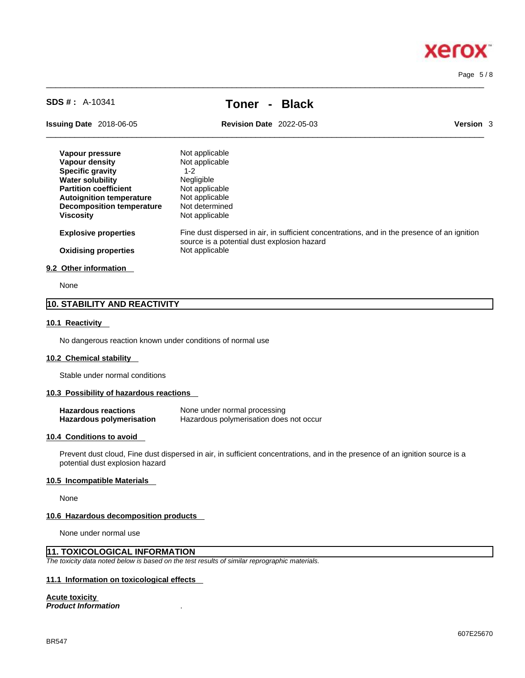# **Xero**

Page 5 / 8

# **SDS # :** A-10341 **Toner - Black**

 $\_$  ,  $\_$  ,  $\_$  ,  $\_$  ,  $\_$  ,  $\_$  ,  $\_$  ,  $\_$  ,  $\_$  ,  $\_$  ,  $\_$  ,  $\_$  ,  $\_$  ,  $\_$  ,  $\_$  ,  $\_$  ,  $\_$  ,  $\_$  ,  $\_$  ,  $\_$  ,  $\_$  ,  $\_$  ,  $\_$  ,  $\_$  ,  $\_$  ,  $\_$  ,  $\_$  ,  $\_$  ,  $\_$  ,  $\_$  ,  $\_$  ,  $\_$  ,  $\_$  ,  $\_$  ,  $\_$  ,  $\_$  ,  $\_$  ,

**Issuing Date** 2018-06-05 **Revision Date** 2022-05-03 **Version** 3

 $\_$  ,  $\_$  ,  $\_$  ,  $\_$  ,  $\_$  ,  $\_$  ,  $\_$  ,  $\_$  ,  $\_$  ,  $\_$  ,  $\_$  ,  $\_$  ,  $\_$  ,  $\_$  ,  $\_$  ,  $\_$  ,  $\_$  ,  $\_$  ,  $\_$  ,  $\_$  ,  $\_$  ,  $\_$  ,  $\_$  ,  $\_$  ,  $\_$  ,  $\_$  ,  $\_$  ,  $\_$  ,  $\_$  ,  $\_$  ,  $\_$  ,  $\_$  ,  $\_$  ,  $\_$  ,  $\_$  ,  $\_$  ,  $\_$  ,

| Vapour pressure                  | Not applicable                                                                                                                              |
|----------------------------------|---------------------------------------------------------------------------------------------------------------------------------------------|
| Vapour density                   | Not applicable                                                                                                                              |
| <b>Specific gravity</b>          | $1 - 2$                                                                                                                                     |
| <b>Water solubility</b>          | Negligible                                                                                                                                  |
| <b>Partition coefficient</b>     | Not applicable                                                                                                                              |
| <b>Autoignition temperature</b>  | Not applicable                                                                                                                              |
| <b>Decomposition temperature</b> | Not determined                                                                                                                              |
| <b>Viscosity</b>                 | Not applicable                                                                                                                              |
| <b>Explosive properties</b>      | Fine dust dispersed in air, in sufficient concentrations, and in the presence of an ignition<br>source is a potential dust explosion hazard |
| <b>Oxidising properties</b>      | Not applicable                                                                                                                              |
| 9.2 Other information            |                                                                                                                                             |

None

#### **10. STABILITY AND REACTIVITY**

#### **10.1 Reactivity**

No dangerous reaction known under conditions of normal use

#### **10.2 Chemical stability**

Stable under normal conditions

#### **10.3 Possibility of hazardous reactions**

| <b>Hazardous reactions</b> | None under normal processing            |
|----------------------------|-----------------------------------------|
| Hazardous polymerisation   | Hazardous polymerisation does not occur |

#### **10.4 Conditions to avoid**

Prevent dust cloud, Fine dust dispersed in air, in sufficient concentrations, and in the presence of an ignition source is a potential dust explosion hazard

#### **10.5 Incompatible Materials**

None

#### **10.6 Hazardous decomposition products**

None under normal use

#### **11. TOXICOLOGICAL INFORMATION**

*The toxicity data noted below is based on the test results of similar reprographic materials.* 

#### **11.1 Information on toxicological effects**

#### **Acute toxicity**

*Product Information* .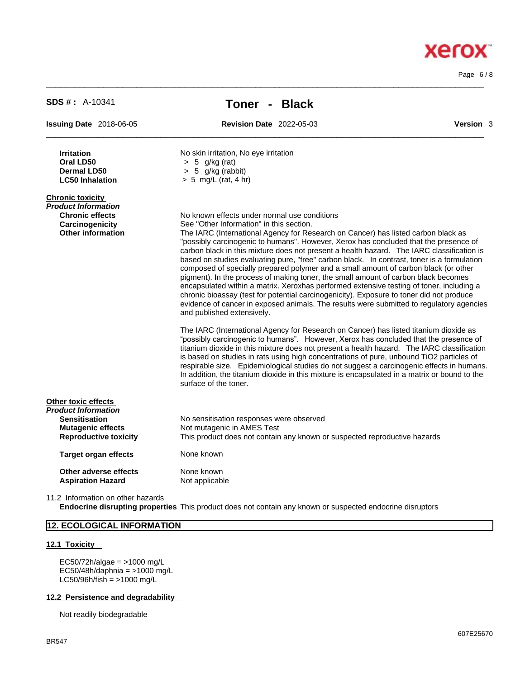Page 6 / 8

| <b>SDS #: A-10341</b>                                                                                                   | Toner - Black                                                                                                                                                                                                                                                                                                                                                                                                                                                                                                                                                                                                                                                                                                                                                                                                                                                                                                                                                                                                                                                                                                                                                                                                                                                                                                                                                                                                                           |                  |  |  |  |  |
|-------------------------------------------------------------------------------------------------------------------------|-----------------------------------------------------------------------------------------------------------------------------------------------------------------------------------------------------------------------------------------------------------------------------------------------------------------------------------------------------------------------------------------------------------------------------------------------------------------------------------------------------------------------------------------------------------------------------------------------------------------------------------------------------------------------------------------------------------------------------------------------------------------------------------------------------------------------------------------------------------------------------------------------------------------------------------------------------------------------------------------------------------------------------------------------------------------------------------------------------------------------------------------------------------------------------------------------------------------------------------------------------------------------------------------------------------------------------------------------------------------------------------------------------------------------------------------|------------------|--|--|--|--|
| <b>Issuing Date</b> 2018-06-05                                                                                          | <b>Revision Date 2022-05-03</b>                                                                                                                                                                                                                                                                                                                                                                                                                                                                                                                                                                                                                                                                                                                                                                                                                                                                                                                                                                                                                                                                                                                                                                                                                                                                                                                                                                                                         | <b>Version</b> 3 |  |  |  |  |
| <b>Irritation</b><br>Oral LD50<br><b>Dermal LD50</b><br><b>LC50 Inhalation</b>                                          | No skin irritation, No eye irritation<br>$> 5$ g/kg (rat)<br>$> 5$ g/kg (rabbit)<br>$> 5$ mg/L (rat, 4 hr)                                                                                                                                                                                                                                                                                                                                                                                                                                                                                                                                                                                                                                                                                                                                                                                                                                                                                                                                                                                                                                                                                                                                                                                                                                                                                                                              |                  |  |  |  |  |
| <b>Chronic toxicity</b><br>Product Information<br><b>Chronic effects</b><br>Carcinogenicity<br><b>Other information</b> | No known effects under normal use conditions<br>See "Other Information" in this section.<br>The IARC (International Agency for Research on Cancer) has listed carbon black as<br>"possibly carcinogenic to humans". However, Xerox has concluded that the presence of<br>carbon black in this mixture does not present a health hazard. The IARC classification is<br>based on studies evaluating pure, "free" carbon black. In contrast, toner is a formulation<br>composed of specially prepared polymer and a small amount of carbon black (or other<br>pigment). In the process of making toner, the small amount of carbon black becomes<br>encapsulated within a matrix. Xeroxhas performed extensive testing of toner, including a<br>chronic bioassay (test for potential carcinogenicity). Exposure to toner did not produce<br>evidence of cancer in exposed animals. The results were submitted to regulatory agencies<br>and published extensively.<br>The IARC (International Agency for Research on Cancer) has listed titanium dioxide as<br>"possibly carcinogenic to humans". However, Xerox has concluded that the presence of<br>titanium dioxide in this mixture does not present a health hazard. The IARC classification<br>is based on studies in rats using high concentrations of pure, unbound TiO2 particles of<br>respirable size. Epidemiological studies do not suggest a carcinogenic effects in humans. |                  |  |  |  |  |
| Other toxic effects<br>Product Information<br><b>Sensitisation</b><br><b>Mutagenic effects</b>                          | In addition, the titanium dioxide in this mixture is encapsulated in a matrix or bound to the<br>surface of the toner.<br>No sensitisation responses were observed<br>Not mutagenic in AMES Test                                                                                                                                                                                                                                                                                                                                                                                                                                                                                                                                                                                                                                                                                                                                                                                                                                                                                                                                                                                                                                                                                                                                                                                                                                        |                  |  |  |  |  |
| <b>Reproductive toxicity</b><br><b>Target organ effects</b>                                                             | This product does not contain any known or suspected reproductive hazards<br>None known                                                                                                                                                                                                                                                                                                                                                                                                                                                                                                                                                                                                                                                                                                                                                                                                                                                                                                                                                                                                                                                                                                                                                                                                                                                                                                                                                 |                  |  |  |  |  |
| Other adverse effects<br><b>Aspiration Hazard</b>                                                                       | None known<br>Not applicable                                                                                                                                                                                                                                                                                                                                                                                                                                                                                                                                                                                                                                                                                                                                                                                                                                                                                                                                                                                                                                                                                                                                                                                                                                                                                                                                                                                                            |                  |  |  |  |  |

 $\_$  ,  $\_$  ,  $\_$  ,  $\_$  ,  $\_$  ,  $\_$  ,  $\_$  ,  $\_$  ,  $\_$  ,  $\_$  ,  $\_$  ,  $\_$  ,  $\_$  ,  $\_$  ,  $\_$  ,  $\_$  ,  $\_$  ,  $\_$  ,  $\_$  ,  $\_$  ,  $\_$  ,  $\_$  ,  $\_$  ,  $\_$  ,  $\_$  ,  $\_$  ,  $\_$  ,  $\_$  ,  $\_$  ,  $\_$  ,  $\_$  ,  $\_$  ,  $\_$  ,  $\_$  ,  $\_$  ,  $\_$  ,  $\_$  ,

11.2 Information on other hazards

**Endocrine disrupting properties** This product does not contain any known or suspected endocrine disruptors

## **12. ECOLOGICAL INFORMATION**

#### **12.1 Toxicity**

EC50/72h/algae = >1000 mg/L  $EC50/48h/daphnia =  $>1000 \text{ mg/L}$$  $LC50/96h/fish = >1000 mg/L$ 

#### **12.2 Persistence and degradability**

Not readily biodegradable

# **Xerox**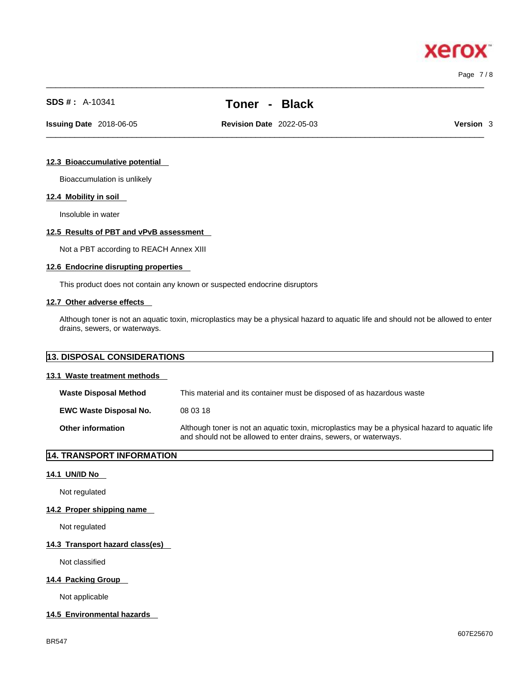Page 7 / 8

xero

# **SDS # :** A-10341 **Toner - Black**

 $\_$  ,  $\_$  ,  $\_$  ,  $\_$  ,  $\_$  ,  $\_$  ,  $\_$  ,  $\_$  ,  $\_$  ,  $\_$  ,  $\_$  ,  $\_$  ,  $\_$  ,  $\_$  ,  $\_$  ,  $\_$  ,  $\_$  ,  $\_$  ,  $\_$  ,  $\_$  ,  $\_$  ,  $\_$  ,  $\_$  ,  $\_$  ,  $\_$  ,  $\_$  ,  $\_$  ,  $\_$  ,  $\_$  ,  $\_$  ,  $\_$  ,  $\_$  ,  $\_$  ,  $\_$  ,  $\_$  ,  $\_$  ,  $\_$  ,

 $\_$  ,  $\_$  ,  $\_$  ,  $\_$  ,  $\_$  ,  $\_$  ,  $\_$  ,  $\_$  ,  $\_$  ,  $\_$  ,  $\_$  ,  $\_$  ,  $\_$  ,  $\_$  ,  $\_$  ,  $\_$  ,  $\_$  ,  $\_$  ,  $\_$  ,  $\_$  ,  $\_$  ,  $\_$  ,  $\_$  ,  $\_$  ,  $\_$  ,  $\_$  ,  $\_$  ,  $\_$  ,  $\_$  ,  $\_$  ,  $\_$  ,  $\_$  ,  $\_$  ,  $\_$  ,  $\_$  ,  $\_$  ,  $\_$  ,

**Issuing Date** 2018-06-05 **Revision Date** 2022-05-03 **Version** 3

#### **12.3 Bioaccumulative potential**

Bioaccumulation is unlikely

#### **12.4 Mobility in soil**

Insoluble in water

#### **12.5 Results of PBT and vPvB assessment**

Not a PBT according to REACH Annex XIII

#### **12.6 Endocrine disrupting properties**

This product does not contain any known or suspected endocrine disruptors

#### **12.7 Other adverse effects**

Although toner is not an aquatic toxin, microplastics may be a physical hazard to aquatic life and should not be allowed to enter drains, sewers, or waterways.

#### **13. DISPOSAL CONSIDERATIONS**

#### **13.1 Waste treatment methods**

| <b>Waste Disposal Method</b>  | This material and its container must be disposed of as hazardous waste                                                                                             |
|-------------------------------|--------------------------------------------------------------------------------------------------------------------------------------------------------------------|
| <b>EWC Waste Disposal No.</b> | 08 03 18                                                                                                                                                           |
| <b>Other information</b>      | Although toner is not an aquatic toxin, microplastics may be a physical hazard to aquatic life<br>and should not be allowed to enter drains, sewers, or waterways. |

#### **14. TRANSPORT INFORMATION**

#### **14.1 UN/ID No**

Not regulated

#### **14.2 Proper shipping name**

Not regulated

#### **14.3 Transport hazard class(es)**

Not classified

#### **14.4 Packing Group**

Not applicable

#### **14.5 Environmental hazards**